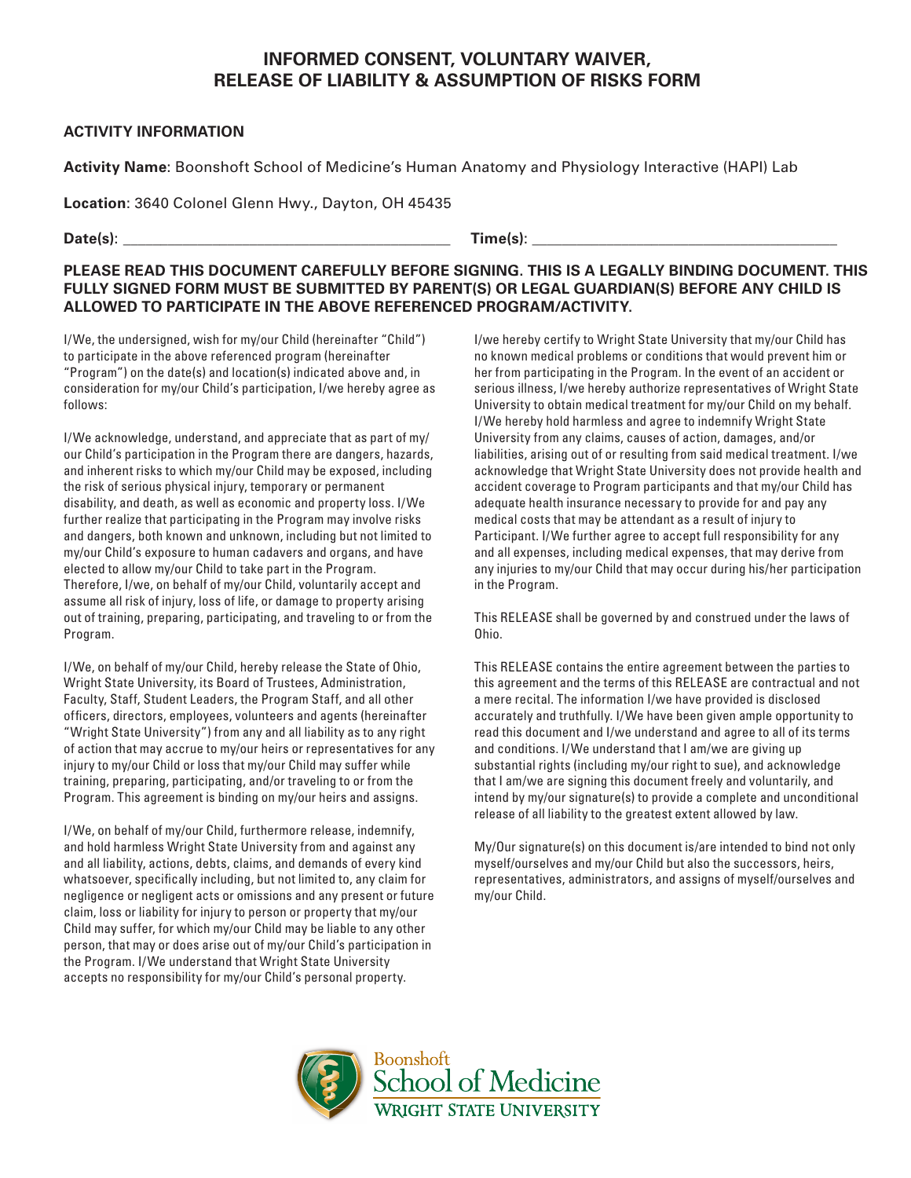## **INFORMED CONSENT, VOLUNTARY WAIVER, RELEASE OF LIABILITY & ASSUMPTION OF RISKS FORM**

## **ACTIVITY INFORMATION**

**Activity Name**: Boonshoft School of Medicine's Human Anatomy and Physiology Interactive (HAPI) Lab

**Location**: 3640 Colonel Glenn Hwy., Dayton, OH 45435

**Date(s)**: \_\_\_\_\_\_\_\_\_\_\_\_\_\_\_\_\_\_\_\_\_\_\_\_\_\_\_\_\_\_\_\_\_\_\_\_\_\_\_\_\_\_\_\_ **Time(s)**: \_\_\_\_\_\_\_\_\_\_\_\_\_\_\_\_\_\_\_\_\_\_\_\_\_\_\_\_\_\_\_\_\_\_\_\_\_\_\_\_\_

## **PLEASE READ THIS DOCUMENT CAREFULLY BEFORE SIGNING. THIS IS A LEGALLY BINDING DOCUMENT. THIS FULLY SIGNED FORM MUST BE SUBMITTED BY PARENT(S) OR LEGAL GUARDIAN(S) BEFORE ANY CHILD IS ALLOWED TO PARTICIPATE IN THE ABOVE REFERENCED PROGRAM/ACTIVITY.**

I/We, the undersigned, wish for my/our Child (hereinafter "Child") to participate in the above referenced program (hereinafter "Program") on the date(s) and location(s) indicated above and, in consideration for my/our Child's participation, I/we hereby agree as follows:

I/We acknowledge, understand, and appreciate that as part of my/ our Child's participation in the Program there are dangers, hazards, and inherent risks to which my/our Child may be exposed, including the risk of serious physical injury, temporary or permanent disability, and death, as well as economic and property loss. I/We further realize that participating in the Program may involve risks and dangers, both known and unknown, including but not limited to my/our Child's exposure to human cadavers and organs, and have elected to allow my/our Child to take part in the Program. Therefore, I/we, on behalf of my/our Child, voluntarily accept and assume all risk of injury, loss of life, or damage to property arising out of training, preparing, participating, and traveling to or from the Program.

I/We, on behalf of my/our Child, hereby release the State of Ohio, Wright State University, its Board of Trustees, Administration, Faculty, Staff, Student Leaders, the Program Staff, and all other officers, directors, employees, volunteers and agents (hereinafter "Wright State University") from any and all liability as to any right of action that may accrue to my/our heirs or representatives for any injury to my/our Child or loss that my/our Child may suffer while training, preparing, participating, and/or traveling to or from the Program. This agreement is binding on my/our heirs and assigns.

I/We, on behalf of my/our Child, furthermore release, indemnify, and hold harmless Wright State University from and against any and all liability, actions, debts, claims, and demands of every kind whatsoever, specifically including, but not limited to, any claim for negligence or negligent acts or omissions and any present or future claim, loss or liability for injury to person or property that my/our Child may suffer, for which my/our Child may be liable to any other person, that may or does arise out of my/our Child's participation in the Program. I/We understand that Wright State University accepts no responsibility for my/our Child's personal property.

I/we hereby certify to Wright State University that my/our Child has no known medical problems or conditions that would prevent him or her from participating in the Program. In the event of an accident or serious illness, I/we hereby authorize representatives of Wright State University to obtain medical treatment for my/our Child on my behalf. I/We hereby hold harmless and agree to indemnify Wright State University from any claims, causes of action, damages, and/or liabilities, arising out of or resulting from said medical treatment. I/we acknowledge that Wright State University does not provide health and accident coverage to Program participants and that my/our Child has adequate health insurance necessary to provide for and pay any medical costs that may be attendant as a result of injury to Participant. I/We further agree to accept full responsibility for any and all expenses, including medical expenses, that may derive from any injuries to my/our Child that may occur during his/her participation in the Program.

This RELEASE shall be governed by and construed under the laws of Ohio.

This RELEASE contains the entire agreement between the parties to this agreement and the terms of this RELEASE are contractual and not a mere recital. The information I/we have provided is disclosed accurately and truthfully. I/We have been given ample opportunity to read this document and I/we understand and agree to all of its terms and conditions. I/We understand that I am/we are giving up substantial rights (including my/our right to sue), and acknowledge that I am/we are signing this document freely and voluntarily, and intend by my/our signature(s) to provide a complete and unconditional release of all liability to the greatest extent allowed by law.

My/Our signature(s) on this document is/are intended to bind not only myself/ourselves and my/our Child but also the successors, heirs, representatives, administrators, and assigns of myself/ourselves and my/our Child.